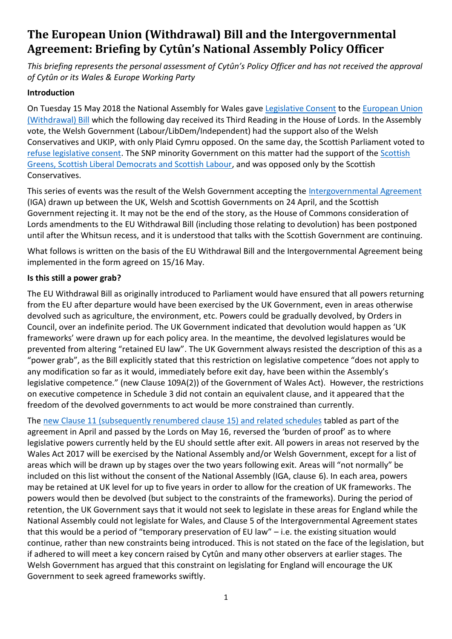# **The European Union (Withdrawal) Bill and the Intergovernmental Agreement: Briefing by Cytûn's National Assembly Policy Officer**

*This briefing represents the personal assessment of Cytûn's Policy Officer and has not received the approval of Cytûn or its Wales & Europe Working Party*

#### **Introduction**

On Tuesday 15 May 2018 the National Assembly for Wales gave [Legislative Consent](http://www.assembly.wales/laid%20documents/lcm-ld11525/lcm-ld11525-e.pdf) to the [European Union](https://services.parliament.uk/Bills/2017-19/europeanunionwithdrawal/documents.html)  [\(Withdrawal\) Bill](https://services.parliament.uk/Bills/2017-19/europeanunionwithdrawal/documents.html) which the following day received its Third Reading in the House of Lords. In the Assembly vote, the Welsh Government (Labour/LibDem/Independent) had the support also of the Welsh Conservatives and UKIP, with only Plaid Cymru opposed. On the same day, the Scottish Parliament voted to [refuse legislative consent.](http://www.parliament.scot/S5ChamberOffice/LCM-S5-10a.pdf) The SNP minority Government on this matter had the support of the Scottish [Greens, Scottish Liberal Democrats and Scottish Labour,](http://www.bbc.co.uk/news/uk-scotland-scotland-politics-43951071) and was opposed only by the Scottish Conservatives.

This series of events was the result of the Welsh Government accepting the [Intergovernmental Agreement](https://www.gov.uk/government/publications/intergovernmental-agreement-on-the-european-union-withdrawal-bill) (IGA) drawn up between the UK, Welsh and Scottish Governments on 24 April, and the Scottish Government rejecting it. It may not be the end of the story, as the House of Commons consideration of Lords amendments to the EU Withdrawal Bill (including those relating to devolution) has been postponed until after the Whitsun recess, and it is understood that talks with the Scottish Government are continuing.

What follows is written on the basis of the EU Withdrawal Bill and the Intergovernmental Agreement being implemented in the form agreed on 15/16 May.

#### **Is this still a power grab?**

The EU Withdrawal Bill as originally introduced to Parliament would have ensured that all powers returning from the EU after departure would have been exercised by the UK Government, even in areas otherwise devolved such as agriculture, the environment, etc. Powers could be gradually devolved, by Orders in Council, over an indefinite period. The UK Government indicated that devolution would happen as 'UK frameworks' were drawn up for each policy area. In the meantime, the devolved legislatures would be prevented from altering "retained EU law". The UK Government always resisted the description of this as a "power grab", as the Bill explicitly stated that this restriction on legislative competence "does not apply to any modification so far as it would, immediately before exit day, have been within the Assembly's legislative competence." (new Clause 109A(2)) of the Government of Wales Act). However, the restrictions on executive competence in Schedule 3 did not contain an equivalent clause, and it appeared that the freedom of the devolved governments to act would be more constrained than currently.

The [new Clause 11 \(subsequently renumbered clause 15\) and related schedules](https://www.gov.uk/government/publications/government-amendments-to-clause-11-of-the-eu-withdrawal-bill) tabled as part of the agreement in April and passed by the Lords on May 16, reversed the 'burden of proof' as to where legislative powers currently held by the EU should settle after exit. All powers in areas not reserved by the Wales Act 2017 will be exercised by the National Assembly and/or Welsh Government, except for a list of areas which will be drawn up by stages over the two years following exit. Areas will "not normally" be included on this list without the consent of the National Assembly (IGA, clause 6). In each area, powers may be retained at UK level for up to five years in order to allow for the creation of UK frameworks. The powers would then be devolved (but subject to the constraints of the frameworks). During the period of retention, the UK Government says that it would not seek to legislate in these areas for England while the National Assembly could not legislate for Wales, and Clause 5 of the Intergovernmental Agreement states that this would be a period of "temporary preservation of EU law" – i.e. the existing situation would continue, rather than new constraints being introduced. This is not stated on the face of the legislation, but if adhered to will meet a key concern raised by Cytûn and many other observers at earlier stages. The Welsh Government has argued that this constraint on legislating for England will encourage the UK Government to seek agreed frameworks swiftly.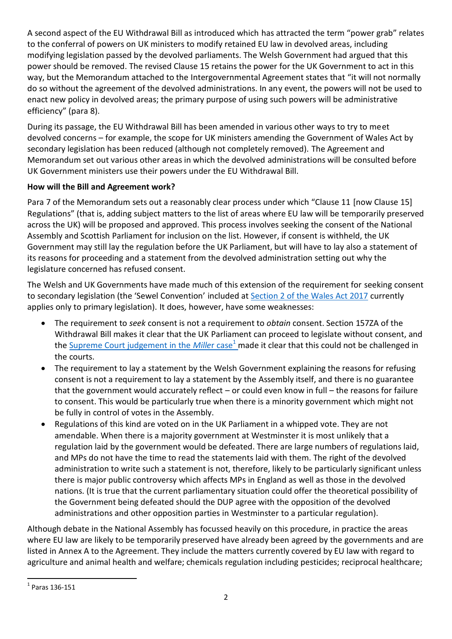A second aspect of the EU Withdrawal Bill as introduced which has attracted the term "power grab" relates to the conferral of powers on UK ministers to modify retained EU law in devolved areas, including modifying legislation passed by the devolved parliaments. The Welsh Government had argued that this power should be removed. The revised Clause 15 retains the power for the UK Government to act in this way, but the Memorandum attached to the Intergovernmental Agreement states that "it will not normally do so without the agreement of the devolved administrations. In any event, the powers will not be used to enact new policy in devolved areas; the primary purpose of using such powers will be administrative efficiency" (para 8).

During its passage, the EU Withdrawal Bill has been amended in various other ways to try to meet devolved concerns – for example, the scope for UK ministers amending the Government of Wales Act by secondary legislation has been reduced (although not completely removed). The Agreement and Memorandum set out various other areas in which the devolved administrations will be consulted before UK Government ministers use their powers under the EU Withdrawal Bill.

## **How will the Bill and Agreement work?**

Para 7 of the Memorandum sets out a reasonably clear process under which "Clause 11 [now Clause 15] Regulations" (that is, adding subject matters to the list of areas where EU law will be temporarily preserved across the UK) will be proposed and approved. This process involves seeking the consent of the National Assembly and Scottish Parliament for inclusion on the list. However, if consent is withheld, the UK Government may still lay the regulation before the UK Parliament, but will have to lay also a statement of its reasons for proceeding and a statement from the devolved administration setting out why the legislature concerned has refused consent.

The Welsh and UK Governments have made much of this extension of the requirement for seeking consent to secondary legislation (the 'Sewel Convention' included at [Section 2 of the Wales Act 2017](http://www.legislation.gov.uk/ukpga/2017/4/section/2/enacted) currently applies only to primary legislation). It does, however, have some weaknesses:

- The requirement to *seek* consent is not a requirement to *obtain* consent. Section 157ZA of the Withdrawal Bill makes it clear that the UK Parliament can proceed to legislate without consent, and the [Supreme Court judgement in the](https://www.supremecourt.uk/cases/docs/uksc-2016-0196-judgment.pdf) *Miller* case<sup>1</sup> made it clear that this could not be challenged in the courts.
- The requirement to lay a statement by the Welsh Government explaining the reasons for refusing consent is not a requirement to lay a statement by the Assembly itself, and there is no guarantee that the government would accurately reflect – or could even know in full – the reasons for failure to consent. This would be particularly true when there is a minority government which might not be fully in control of votes in the Assembly.
- Regulations of this kind are voted on in the UK Parliament in a whipped vote. They are not amendable. When there is a majority government at Westminster it is most unlikely that a regulation laid by the government would be defeated. There are large numbers of regulations laid, and MPs do not have the time to read the statements laid with them. The right of the devolved administration to write such a statement is not, therefore, likely to be particularly significant unless there is major public controversy which affects MPs in England as well as those in the devolved nations. (It is true that the current parliamentary situation could offer the theoretical possibility of the Government being defeated should the DUP agree with the opposition of the devolved administrations and other opposition parties in Westminster to a particular regulation).

Although debate in the National Assembly has focussed heavily on this procedure, in practice the areas where EU law are likely to be temporarily preserved have already been agreed by the governments and are listed in Annex A to the Agreement. They include the matters currently covered by EU law with regard to agriculture and animal health and welfare; chemicals regulation including pesticides; reciprocal healthcare;

**The Lines of Strate Strate** 1<br><sup>1</sup> Paras 136-151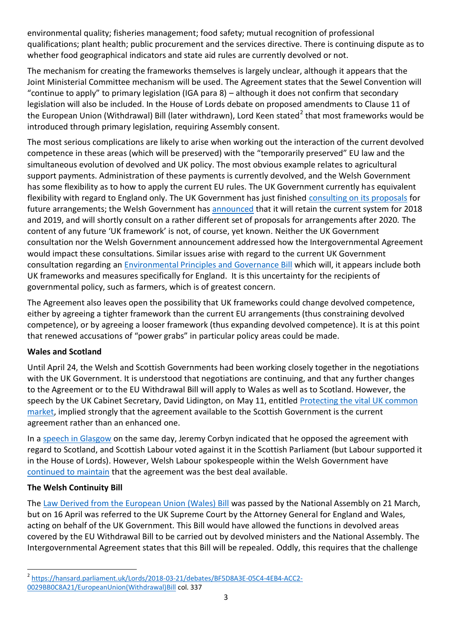environmental quality; fisheries management; food safety; mutual recognition of professional qualifications; plant health; public procurement and the services directive. There is continuing dispute as to whether food geographical indicators and state aid rules are currently devolved or not.

The mechanism for creating the frameworks themselves is largely unclear, although it appears that the Joint Ministerial Committee mechanism will be used. The Agreement states that the Sewel Convention will "continue to apply" to primary legislation (IGA para 8) – although it does not confirm that secondary legislation will also be included. In the House of Lords debate on proposed amendments to Clause 11 of the European Union (Withdrawal) Bill (later withdrawn), Lord Keen stated<sup>2</sup> that most frameworks would be introduced through primary legislation, requiring Assembly consent.

The most serious complications are likely to arise when working out the interaction of the current devolved competence in these areas (which will be preserved) with the "temporarily preserved" EU law and the simultaneous evolution of devolved and UK policy. The most obvious example relates to agricultural support payments. Administration of these payments is currently devolved, and the Welsh Government has some flexibility as to how to apply the current EU rules. The UK Government currently has equivalent flexibility with regard to England only. The UK Government has just finished [consulting on its proposals](https://www.gov.uk/government/consultations/the-future-for-food-farming-and-the-environment) for future arrangements; the Welsh Government has [announced](https://gov.wales/newsroom/environmentandcountryside/2018/180508-lesley-griffiths-sets-out-timetable-for-basic-payment-scheme-post-brexit/?skip=1&lang=en) that it will retain the current system for 2018 and 2019, and will shortly consult on a rather different set of proposals for arrangements after 2020. The content of any future 'UK framework' is not, of course, yet known. Neither the UK Government consultation nor the Welsh Government announcement addressed how the Intergovernmental Agreement would impact these consultations. Similar issues arise with regard to the current UK Government consultation regarding an [Environmental Principles and Governance Bill](https://consult.defra.gov.uk/eu/environmental-principles-and-governance/?utm_source=Repeal+Bill+Alliance+E%3A+Bulletin&utm_campaign=c1b3947700-EMAIL_CAMPAIGN_2018_05_18&utm_medium=email&utm_term=0_d6f14e7520-c1b3947700-2299201) which will, it appears include both UK frameworks and measures specifically for England. It is this uncertainty for the recipients of governmental policy, such as farmers, which is of greatest concern.

The Agreement also leaves open the possibility that UK frameworks could change devolved competence, either by agreeing a tighter framework than the current EU arrangements (thus constraining devolved competence), or by agreeing a looser framework (thus expanding devolved competence). It is at this point that renewed accusations of "power grabs" in particular policy areas could be made.

## **Wales and Scotland**

Until April 24, the Welsh and Scottish Governments had been working closely together in the negotiations with the UK Government. It is understood that negotiations are continuing, and that any further changes to the Agreement or to the EU Withdrawal Bill will apply to Wales as well as to Scotland. However, the speech by the UK Cabinet Secretary, David Lidington, on May 11, entitled Protecting the vital UK common [market,](https://www.gov.uk/government/news/protecting-the-vital-uk-common-market-david-lidington-speech) implied strongly that the agreement available to the Scottish Government is the current agreement rather than an enhanced one.

In a [speech in Glasgow](https://www.scotsman.com/news/politics/jeremy-corbyn-brexit-bill-is-a-power-grab-on-the-scottish-parliament-1-4738226) on the same day, Jeremy Corbyn indicated that he opposed the agreement with regard to Scotland, and Scottish Labour voted against it in the Scottish Parliament (but Labour supported it in the House of Lords). However, Welsh Labour spokespeople within the Welsh Government have [continued to maintain](https://gov.wales/newsroom/finance1/2018/180515-finance-secretary-sets-out-wales-brexit-priorities/?skip=1&lang=en) that the agreement was the best deal available.

## **The Welsh Continuity Bill**

.

The [Law Derived from the European Union \(Wales\) Bill](http://senedd.assembly.wales/mgIssueHistoryHome.aspx?IId=21280) was passed by the National Assembly on 21 March, but on 16 April was referred to the UK Supreme Court by the Attorney General for England and Wales, acting on behalf of the UK Government. This Bill would have allowed the functions in devolved areas covered by the EU Withdrawal Bill to be carried out by devolved ministers and the National Assembly. The Intergovernmental Agreement states that this Bill will be repealed. Oddly, this requires that the challenge

<sup>2</sup> [https://hansard.parliament.uk/Lords/2018-03-21/debates/BF5D8A3E-05C4-4EB4-ACC2-](https://hansard.parliament.uk/Lords/2018-03-21/debates/BF5D8A3E-05C4-4EB4-ACC2-0029BB0C8A21/EuropeanUnion(Withdrawal)Bill)

[<sup>0029</sup>BB0C8A21/EuropeanUnion\(Withdrawal\)Bill](https://hansard.parliament.uk/Lords/2018-03-21/debates/BF5D8A3E-05C4-4EB4-ACC2-0029BB0C8A21/EuropeanUnion(Withdrawal)Bill) col. 337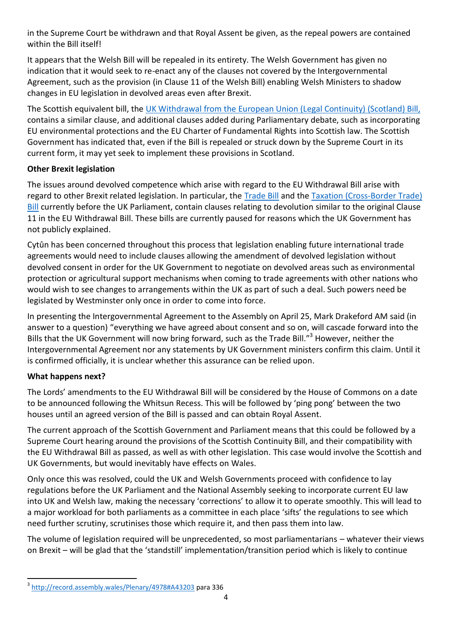in the Supreme Court be withdrawn and that Royal Assent be given, as the repeal powers are contained within the Bill itself!

It appears that the Welsh Bill will be repealed in its entirety. The Welsh Government has given no indication that it would seek to re-enact any of the clauses not covered by the Intergovernmental Agreement, such as the provision (in Clause 11 of the Welsh Bill) enabling Welsh Ministers to shadow changes in EU legislation in devolved areas even after Brexit.

The Scottish equivalent bill, the [UK Withdrawal from the European Union \(Legal Continuity\) \(Scotland\) Bill,](http://www.parliament.scot/parliamentarybusiness/Bills/107725.aspx) contains a similar clause, and additional clauses added during Parliamentary debate, such as incorporating EU environmental protections and the EU Charter of Fundamental Rights into Scottish law. The Scottish Government has indicated that, even if the Bill is repealed or struck down by the Supreme Court in its current form, it may yet seek to implement these provisions in Scotland.

## **Other Brexit legislation**

The issues around devolved competence which arise with regard to the EU Withdrawal Bill arise with regard to other Brexit related legislation. In particular, the [Trade Bill](https://services.parliament.uk/bills/2017-19/trade.html) and the [Taxation \(Cross-Border Trade\)](https://services.parliament.uk/bills/2017-19/taxationcrossbordertrade/documents.html)  [Bill](https://services.parliament.uk/bills/2017-19/taxationcrossbordertrade/documents.html) currently before the UK Parliament, contain clauses relating to devolution similar to the original Clause 11 in the EU Withdrawal Bill. These bills are currently paused for reasons which the UK Government has not publicly explained.

Cytûn has been concerned throughout this process that legislation enabling future international trade agreements would need to include clauses allowing the amendment of devolved legislation without devolved consent in order for the UK Government to negotiate on devolved areas such as environmental protection or agricultural support mechanisms when coming to trade agreements with other nations who would wish to see changes to arrangements within the UK as part of such a deal. Such powers need be legislated by Westminster only once in order to come into force.

In presenting the Intergovernmental Agreement to the Assembly on April 25, Mark Drakeford AM said (in answer to a question) "everything we have agreed about consent and so on, will cascade forward into the Bills that the UK Government will now bring forward, such as the Trade Bill."<sup>3</sup> However, neither the Intergovernmental Agreement nor any statements by UK Government ministers confirm this claim. Until it is confirmed officially, it is unclear whether this assurance can be relied upon.

## **What happens next?**

The Lords' amendments to the EU Withdrawal Bill will be considered by the House of Commons on a date to be announced following the Whitsun Recess. This will be followed by 'ping pong' between the two houses until an agreed version of the Bill is passed and can obtain Royal Assent.

The current approach of the Scottish Government and Parliament means that this could be followed by a Supreme Court hearing around the provisions of the Scottish Continuity Bill, and their compatibility with the EU Withdrawal Bill as passed, as well as with other legislation. This case would involve the Scottish and UK Governments, but would inevitably have effects on Wales.

Only once this was resolved, could the UK and Welsh Governments proceed with confidence to lay regulations before the UK Parliament and the National Assembly seeking to incorporate current EU law into UK and Welsh law, making the necessary 'corrections' to allow it to operate smoothly. This will lead to a major workload for both parliaments as a committee in each place 'sifts' the regulations to see which need further scrutiny, scrutinises those which require it, and then pass them into law.

The volume of legislation required will be unprecedented, so most parliamentarians – whatever their views on Brexit – will be glad that the 'standstill' implementation/transition period which is likely to continue

a<br>3 <http://record.assembly.wales/Plenary/4978#A43203> para 336